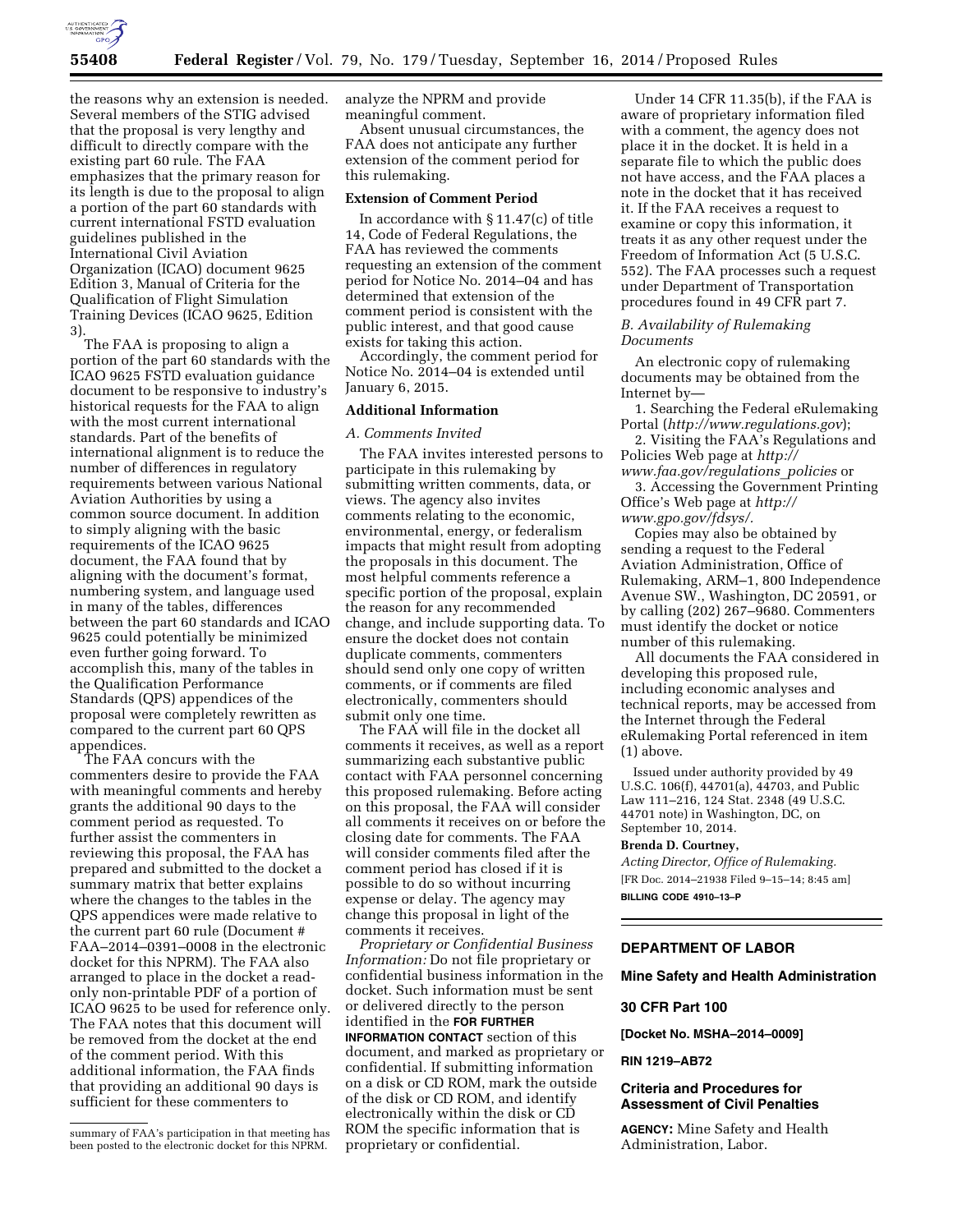

the reasons why an extension is needed. Several members of the STIG advised that the proposal is very lengthy and difficult to directly compare with the existing part 60 rule. The FAA emphasizes that the primary reason for its length is due to the proposal to align a portion of the part 60 standards with current international FSTD evaluation guidelines published in the International Civil Aviation Organization (ICAO) document 9625 Edition 3, Manual of Criteria for the Qualification of Flight Simulation Training Devices (ICAO 9625, Edition 3).

The FAA is proposing to align a portion of the part 60 standards with the ICAO 9625 FSTD evaluation guidance document to be responsive to industry's historical requests for the FAA to align with the most current international standards. Part of the benefits of international alignment is to reduce the number of differences in regulatory requirements between various National Aviation Authorities by using a common source document. In addition to simply aligning with the basic requirements of the ICAO 9625 document, the FAA found that by aligning with the document's format, numbering system, and language used in many of the tables, differences between the part 60 standards and ICAO 9625 could potentially be minimized even further going forward. To accomplish this, many of the tables in the Qualification Performance Standards (QPS) appendices of the proposal were completely rewritten as compared to the current part 60 QPS appendices.

The FAA concurs with the commenters desire to provide the FAA with meaningful comments and hereby grants the additional 90 days to the comment period as requested. To further assist the commenters in reviewing this proposal, the FAA has prepared and submitted to the docket a summary matrix that better explains where the changes to the tables in the QPS appendices were made relative to the current part 60 rule (Document # FAA–2014–0391–0008 in the electronic docket for this NPRM). The FAA also arranged to place in the docket a readonly non-printable PDF of a portion of ICAO 9625 to be used for reference only. The FAA notes that this document will be removed from the docket at the end of the comment period. With this additional information, the FAA finds that providing an additional 90 days is sufficient for these commenters to

analyze the NPRM and provide meaningful comment.

Absent unusual circumstances, the FAA does not anticipate any further extension of the comment period for this rulemaking.

### **Extension of Comment Period**

In accordance with § 11.47(c) of title 14, Code of Federal Regulations, the FAA has reviewed the comments requesting an extension of the comment period for Notice No. 2014–04 and has determined that extension of the comment period is consistent with the public interest, and that good cause exists for taking this action.

Accordingly, the comment period for Notice No. 2014–04 is extended until January 6, 2015.

# **Additional Information**

#### *A. Comments Invited*

The FAA invites interested persons to participate in this rulemaking by submitting written comments, data, or views. The agency also invites comments relating to the economic, environmental, energy, or federalism impacts that might result from adopting the proposals in this document. The most helpful comments reference a specific portion of the proposal, explain the reason for any recommended change, and include supporting data. To ensure the docket does not contain duplicate comments, commenters should send only one copy of written comments, or if comments are filed electronically, commenters should submit only one time.

The FAA will file in the docket all comments it receives, as well as a report summarizing each substantive public contact with FAA personnel concerning this proposed rulemaking. Before acting on this proposal, the FAA will consider all comments it receives on or before the closing date for comments. The FAA will consider comments filed after the comment period has closed if it is possible to do so without incurring expense or delay. The agency may change this proposal in light of the comments it receives.

*Proprietary or Confidential Business Information:* Do not file proprietary or confidential business information in the docket. Such information must be sent or delivered directly to the person identified in the **FOR FURTHER INFORMATION CONTACT** section of this document, and marked as proprietary or confidential. If submitting information on a disk or CD ROM, mark the outside of the disk or CD ROM, and identify electronically within the disk or CD ROM the specific information that is proprietary or confidential.

Under 14 CFR 11.35(b), if the FAA is aware of proprietary information filed with a comment, the agency does not place it in the docket. It is held in a separate file to which the public does not have access, and the FAA places a note in the docket that it has received it. If the FAA receives a request to examine or copy this information, it treats it as any other request under the Freedom of Information Act (5 U.S.C. 552). The FAA processes such a request under Department of Transportation procedures found in 49 CFR part 7.

### *B. Availability of Rulemaking Documents*

An electronic copy of rulemaking documents may be obtained from the Internet by—

1. Searching the Federal eRulemaking Portal (*<http://www.regulations.gov>*);

2. Visiting the FAA's Regulations and Policies Web page at *[http://](http://www.faa.gov/regulations_policies) [www.faa.gov/regulations](http://www.faa.gov/regulations_policies)*\_*policies* or

3. Accessing the Government Printing Office's Web page at *[http://](http://www.gpo.gov/fdsys/)*

*[www.gpo.gov/fdsys/.](http://www.gpo.gov/fdsys/)* 

Copies may also be obtained by sending a request to the Federal Aviation Administration, Office of Rulemaking, ARM–1, 800 Independence Avenue SW., Washington, DC 20591, or by calling (202) 267–9680. Commenters must identify the docket or notice number of this rulemaking.

All documents the FAA considered in developing this proposed rule, including economic analyses and technical reports, may be accessed from the Internet through the Federal eRulemaking Portal referenced in item (1) above.

Issued under authority provided by 49 U.S.C. 106(f), 44701(a), 44703, and Public Law 111–216, 124 Stat. 2348 (49 U.S.C. 44701 note) in Washington, DC, on September 10, 2014.

#### **Brenda D. Courtney,**

*Acting Director, Office of Rulemaking.*  [FR Doc. 2014–21938 Filed 9–15–14; 8:45 am] **BILLING CODE 4910–13–P** 

# **DEPARTMENT OF LABOR**

### **Mine Safety and Health Administration**

### **30 CFR Part 100**

**[Docket No. MSHA–2014–0009]** 

### **RIN 1219–AB72**

# **Criteria and Procedures for Assessment of Civil Penalties**

**AGENCY:** Mine Safety and Health Administration, Labor.

summary of FAA's participation in that meeting has been posted to the electronic docket for this NPRM.